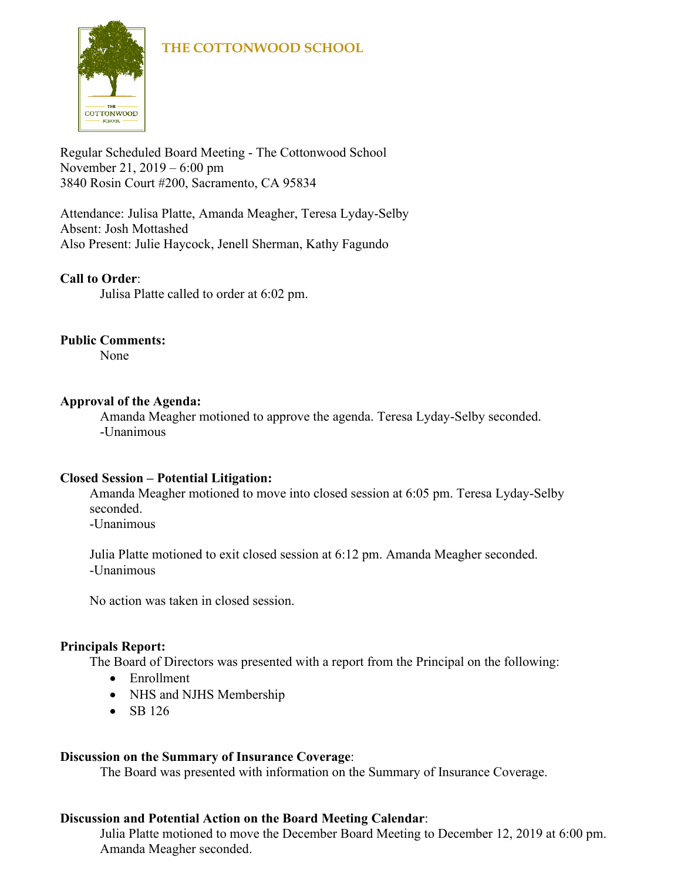# **THE COTTONWOOD SCHOOL**



Regular Scheduled Board Meeting - The Cottonwood School November 21, 2019 – 6:00 pm 3840 Rosin Court #200, Sacramento, CA 95834

Attendance: Julisa Platte, Amanda Meagher, Teresa Lyday-Selby Absent: Josh Mottashed Also Present: Julie Haycock, Jenell Sherman, Kathy Fagundo

### **Call to Order**:

Julisa Platte called to order at 6:02 pm.

### **Public Comments:**

None

### **Approval of the Agenda:**

Amanda Meagher motioned to approve the agenda. Teresa Lyday-Selby seconded. -Unanimous

### **Closed Session – Potential Litigation:**

Amanda Meagher motioned to move into closed session at 6:05 pm. Teresa Lyday-Selby seconded.

-Unanimous

Julia Platte motioned to exit closed session at 6:12 pm. Amanda Meagher seconded. -Unanimous

No action was taken in closed session.

### **Principals Report:**

The Board of Directors was presented with a report from the Principal on the following:

- Enrollment
- NHS and NJHS Membership
- SB 126

### **Discussion on the Summary of Insurance Coverage**:

The Board was presented with information on the Summary of Insurance Coverage.

## **Discussion and Potential Action on the Board Meeting Calendar**:

Julia Platte motioned to move the December Board Meeting to December 12, 2019 at 6:00 pm. Amanda Meagher seconded.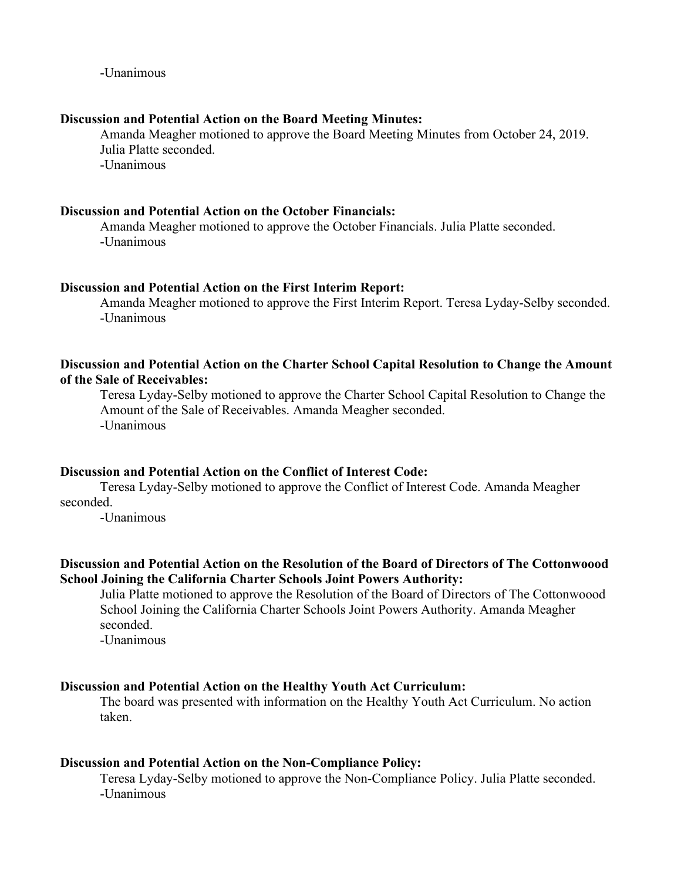-Unanimous

#### **Discussion and Potential Action on the Board Meeting Minutes:**

Amanda Meagher motioned to approve the Board Meeting Minutes from October 24, 2019. Julia Platte seconded. -Unanimous

#### **Discussion and Potential Action on the October Financials:**

Amanda Meagher motioned to approve the October Financials. Julia Platte seconded. -Unanimous

#### **Discussion and Potential Action on the First Interim Report:**

Amanda Meagher motioned to approve the First Interim Report. Teresa Lyday-Selby seconded. -Unanimous

### **Discussion and Potential Action on the Charter School Capital Resolution to Change the Amount of the Sale of Receivables:**

Teresa Lyday-Selby motioned to approve the Charter School Capital Resolution to Change the Amount of the Sale of Receivables. Amanda Meagher seconded. -Unanimous

### **Discussion and Potential Action on the Conflict of Interest Code:**

Teresa Lyday-Selby motioned to approve the Conflict of Interest Code. Amanda Meagher seconded.

-Unanimous

### **Discussion and Potential Action on the Resolution of the Board of Directors of The Cottonwoood School Joining the California Charter Schools Joint Powers Authority:**

Julia Platte motioned to approve the Resolution of the Board of Directors of The Cottonwoood School Joining the California Charter Schools Joint Powers Authority. Amanda Meagher seconded.

-Unanimous

#### **Discussion and Potential Action on the Healthy Youth Act Curriculum:**

The board was presented with information on the Healthy Youth Act Curriculum. No action taken.

#### **Discussion and Potential Action on the Non-Compliance Policy:**

Teresa Lyday-Selby motioned to approve the Non-Compliance Policy. Julia Platte seconded. -Unanimous